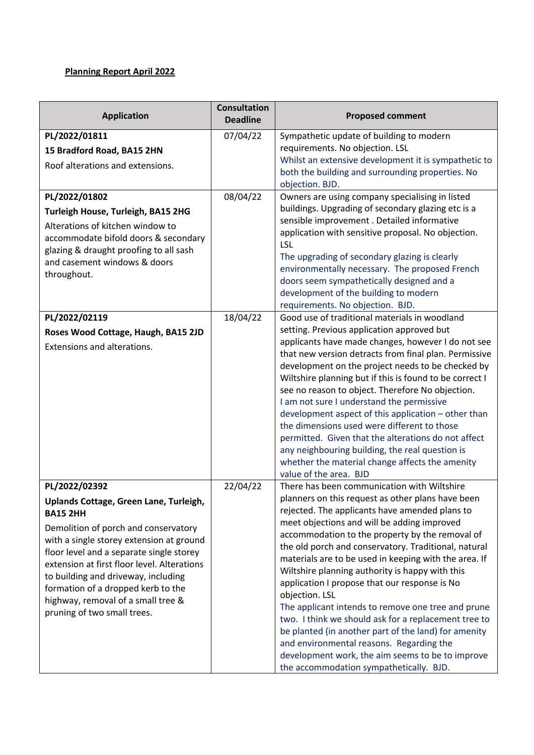## **Planning Report April 2022**

| <b>Application</b>                                                                                                                                                                                                                                                                                                                                                                                          | <b>Consultation</b><br><b>Deadline</b> | <b>Proposed comment</b>                                                                                                                                                                                                                                                                                                                                                                                                                                                                                                                                                                                                                                                                                                                                                                                      |
|-------------------------------------------------------------------------------------------------------------------------------------------------------------------------------------------------------------------------------------------------------------------------------------------------------------------------------------------------------------------------------------------------------------|----------------------------------------|--------------------------------------------------------------------------------------------------------------------------------------------------------------------------------------------------------------------------------------------------------------------------------------------------------------------------------------------------------------------------------------------------------------------------------------------------------------------------------------------------------------------------------------------------------------------------------------------------------------------------------------------------------------------------------------------------------------------------------------------------------------------------------------------------------------|
| PL/2022/01811<br>15 Bradford Road, BA15 2HN<br>Roof alterations and extensions.                                                                                                                                                                                                                                                                                                                             | 07/04/22                               | Sympathetic update of building to modern<br>requirements. No objection. LSL<br>Whilst an extensive development it is sympathetic to<br>both the building and surrounding properties. No<br>objection. BJD.                                                                                                                                                                                                                                                                                                                                                                                                                                                                                                                                                                                                   |
| PL/2022/01802<br>Turleigh House, Turleigh, BA15 2HG<br>Alterations of kitchen window to<br>accommodate bifold doors & secondary<br>glazing & draught proofing to all sash<br>and casement windows & doors<br>throughout.                                                                                                                                                                                    | 08/04/22                               | Owners are using company specialising in listed<br>buildings. Upgrading of secondary glazing etc is a<br>sensible improvement . Detailed informative<br>application with sensitive proposal. No objection.<br>LSL<br>The upgrading of secondary glazing is clearly<br>environmentally necessary. The proposed French<br>doors seem sympathetically designed and a<br>development of the building to modern<br>requirements. No objection. BJD.                                                                                                                                                                                                                                                                                                                                                               |
| PL/2022/02119<br>Roses Wood Cottage, Haugh, BA15 2JD<br>Extensions and alterations.                                                                                                                                                                                                                                                                                                                         | 18/04/22                               | Good use of traditional materials in woodland<br>setting. Previous application approved but<br>applicants have made changes, however I do not see<br>that new version detracts from final plan. Permissive<br>development on the project needs to be checked by<br>Wiltshire planning but if this is found to be correct I<br>see no reason to object. Therefore No objection.<br>I am not sure I understand the permissive<br>development aspect of this application - other than<br>the dimensions used were different to those<br>permitted. Given that the alterations do not affect<br>any neighbouring building, the real question is<br>whether the material change affects the amenity<br>value of the area. BJD                                                                                     |
| PL/2022/02392<br>Uplands Cottage, Green Lane, Turleigh,<br><b>BA15 2HH</b><br>Demolition of porch and conservatory<br>with a single storey extension at ground<br>floor level and a separate single storey<br>extension at first floor level. Alterations<br>to building and driveway, including<br>formation of a dropped kerb to the<br>highway, removal of a small tree &<br>pruning of two small trees. | 22/04/22                               | There has been communication with Wiltshire<br>planners on this request as other plans have been<br>rejected. The applicants have amended plans to<br>meet objections and will be adding improved<br>accommodation to the property by the removal of<br>the old porch and conservatory. Traditional, natural<br>materials are to be used in keeping with the area. If<br>Wiltshire planning authority is happy with this<br>application I propose that our response is No<br>objection. LSL<br>The applicant intends to remove one tree and prune<br>two. I think we should ask for a replacement tree to<br>be planted (in another part of the land) for amenity<br>and environmental reasons. Regarding the<br>development work, the aim seems to be to improve<br>the accommodation sympathetically. BJD. |